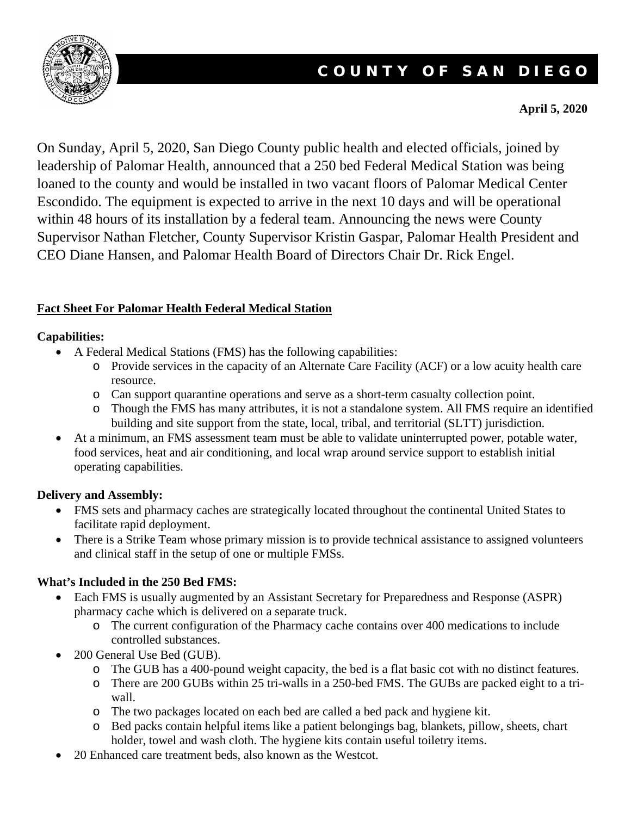

# COUNTY OF SAN DIEGO

#### **April 5, 2020**

On Sunday, April 5, 2020, San Diego County public health and elected officials, joined by leadership of Palomar Health, announced that a 250 bed Federal Medical Station was being loaned to the county and would be installed in two vacant floors of Palomar Medical Center Escondido. The equipment is expected to arrive in the next 10 days and will be operational within 48 hours of its installation by a federal team. Announcing the news were County Supervisor Nathan Fletcher, County Supervisor Kristin Gaspar, Palomar Health President and CEO Diane Hansen, and Palomar Health Board of Directors Chair Dr. Rick Engel.

# **Fact Sheet For Palomar Health Federal Medical Station**

#### **Capabilities:**

- A Federal Medical Stations (FMS) has the following capabilities:
	- o Provide services in the capacity of an Alternate Care Facility (ACF) or a low acuity health care resource.
	- o Can support quarantine operations and serve as a short-term casualty collection point.
	- o Though the FMS has many attributes, it is not a standalone system. All FMS require an identified building and site support from the state, local, tribal, and territorial (SLTT) jurisdiction.
- At a minimum, an FMS assessment team must be able to validate uninterrupted power, potable water, food services, heat and air conditioning, and local wrap around service support to establish initial operating capabilities.

# **Delivery and Assembly:**

- FMS sets and pharmacy caches are strategically located throughout the continental United States to facilitate rapid deployment.
- There is a Strike Team whose primary mission is to provide technical assistance to assigned volunteers and clinical staff in the setup of one or multiple FMSs.

# **What's Included in the 250 Bed FMS:**

- Each FMS is usually augmented by an Assistant Secretary for Preparedness and Response (ASPR) pharmacy cache which is delivered on a separate truck.
	- o The current configuration of the Pharmacy cache contains over 400 medications to include controlled substances.
- 200 General Use Bed (GUB).
	- o The GUB has a 400-pound weight capacity, the bed is a flat basic cot with no distinct features.
	- o There are 200 GUBs within 25 tri-walls in a 250-bed FMS. The GUBs are packed eight to a triwall.
	- o The two packages located on each bed are called a bed pack and hygiene kit.
	- o Bed packs contain helpful items like a patient belongings bag, blankets, pillow, sheets, chart holder, towel and wash cloth. The hygiene kits contain useful toiletry items.
- 20 Enhanced care treatment beds, also known as the Westcot.